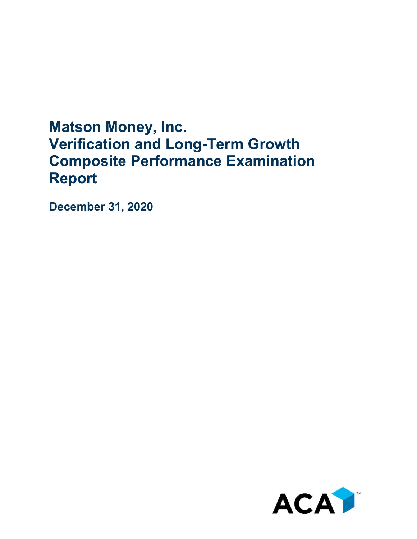## **Matson Money, Inc. Verification and Long-Term Growth Composite Performance Examination Report**

**December 31, 2020**

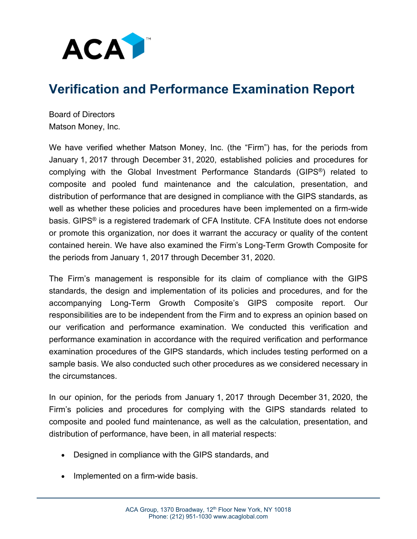

## **Verification and Performance Examination Report**

Board of Directors Matson Money, Inc.

We have verified whether Matson Money, Inc. (the "Firm") has, for the periods from January 1, 2017 through December 31, 2020, established policies and procedures for complying with the Global Investment Performance Standards (GIPS®) related to composite and pooled fund maintenance and the calculation, presentation, and distribution of performance that are designed in compliance with the GIPS standards, as well as whether these policies and procedures have been implemented on a firm-wide basis. GIPS® is a registered trademark of CFA Institute. CFA Institute does not endorse or promote this organization, nor does it warrant the accuracy or quality of the content contained herein. We have also examined the Firm's Long-Term Growth Composite for the periods from January 1, 2017 through December 31, 2020.

The Firm's management is responsible for its claim of compliance with the GIPS standards, the design and implementation of its policies and procedures, and for the accompanying Long-Term Growth Composite's GIPS composite report. Our responsibilities are to be independent from the Firm and to express an opinion based on our verification and performance examination. We conducted this verification and performance examination in accordance with the required verification and performance examination procedures of the GIPS standards, which includes testing performed on a sample basis. We also conducted such other procedures as we considered necessary in the circumstances.

In our opinion, for the periods from January 1, 2017 through December 31, 2020, the Firm's policies and procedures for complying with the GIPS standards related to composite and pooled fund maintenance, as well as the calculation, presentation, and distribution of performance, have been, in all material respects:

- Designed in compliance with the GIPS standards, and
- Implemented on a firm-wide basis.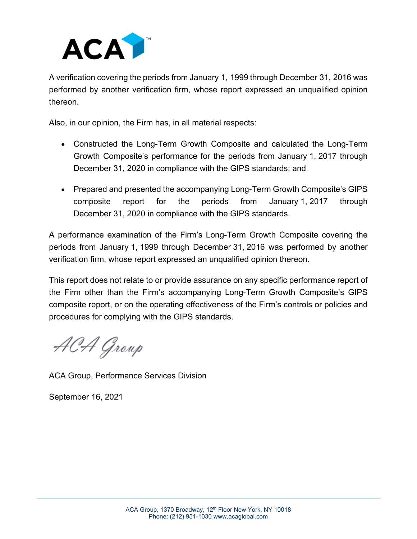

A verification covering the periods from January 1, 1999 through December 31, 2016 was performed by another verification firm, whose report expressed an unqualified opinion thereon.

Also, in our opinion, the Firm has, in all material respects:

- Constructed the Long-Term Growth Composite and calculated the Long-Term Growth Composite's performance for the periods from January 1, 2017 through December 31, 2020 in compliance with the GIPS standards; and
- Prepared and presented the accompanying Long-Term Growth Composite's GIPS composite report for the periods from January 1, 2017 through December 31, 2020 in compliance with the GIPS standards.

A performance examination of the Firm's Long-Term Growth Composite covering the periods from January 1, 1999 through December 31, 2016 was performed by another verification firm, whose report expressed an unqualified opinion thereon.

This report does not relate to or provide assurance on any specific performance report of the Firm other than the Firm's accompanying Long-Term Growth Composite's GIPS composite report, or on the operating effectiveness of the Firm's controls or policies and procedures for complying with the GIPS standards.

ACA Group

ACA Group, Performance Services Division

September 16, 2021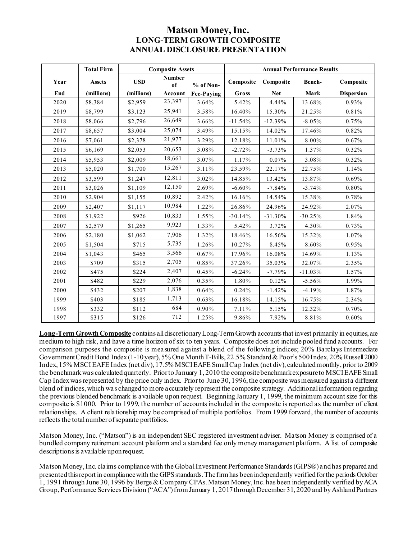## **Matson Money, Inc. LONG-TERM GROWTH COMPOSITE ANNUAL DISCLOSURE PRESENTATION**

|      | <b>Total Firm</b> | <b>Composite Assets</b> |                     |                   | <b>Annual Performance Results</b> |            |           |                   |
|------|-------------------|-------------------------|---------------------|-------------------|-----------------------------------|------------|-----------|-------------------|
| Year | <b>Assets</b>     | <b>USD</b>              | <b>Number</b><br>of | % of Non-         | Composite                         | Composite  | Bench-    | Composite         |
| End  | (millions)        | (millions)              | Account             | <b>Fee-Paying</b> | Gross                             | <b>Net</b> | Mark      | <b>Dispersion</b> |
| 2020 | \$8,384           | \$2,959                 | 23,397              | 3.64%             | 5.42%                             | 4.44%      | 13.68%    | 0.93%             |
| 2019 | \$8,799           | \$3,123                 | 25,941              | 3.58%             | 16.40%                            | 15.30%     | 21.25%    | 0.81%             |
| 2018 | \$8,066           | \$2,796                 | 26,649              | 3.66%             | $-11.54%$                         | $-12.39%$  | $-8.05%$  | 0.75%             |
| 2017 | \$8,657           | \$3,004                 | 25,074              | 3.49%             | 15.15%                            | 14.02%     | 17.46%    | 0.82%             |
| 2016 | \$7,061           | \$2,378                 | 21,977              | 3.29%             | 12.18%                            | 11.01%     | 8.00%     | 0.67%             |
| 2015 | \$6,169           | \$2,053                 | 20,653              | 3.08%             | $-2.72%$                          | $-3.73%$   | 1.37%     | 0.32%             |
| 2014 | \$5,953           | \$2,009                 | 18,661              | 3.07%             | 1.17%                             | 0.07%      | 3.08%     | 0.32%             |
| 2013 | \$5,020           | \$1,700                 | 15,267              | 3.11%             | 23.59%                            | 22.17%     | 22.75%    | 1.14%             |
| 2012 | \$3,599           | \$1,247                 | 12,811              | 3.02%             | 14.85%                            | 13.42%     | 13.87%    | 0.69%             |
| 2011 | \$3,026           | \$1,109                 | 12,150              | 2.69%             | $-6.60%$                          | $-7.84%$   | $-3.74%$  | 0.80%             |
| 2010 | \$2,904           | \$1,155                 | 10,892              | 2.42%             | 16.16%                            | 14.54%     | 15.38%    | 0.78%             |
| 2009 | \$2,407           | \$1,117                 | 10,984              | 1.22%             | 26.86%                            | 24.96%     | 24.92%    | 2.07%             |
| 2008 | \$1,922           | \$926                   | 10,833              | 1.55%             | $-30.14%$                         | $-31.30%$  | $-30.25%$ | 1.84%             |
| 2007 | \$2,579           | \$1,265                 | 9,923               | 1.33%             | 5.42%                             | 3.72%      | 4.30%     | 0.73%             |
| 2006 | \$2,180           | \$1,062                 | 7,906               | 1.32%             | 18.46%                            | 16.56%     | 15.32%    | 1.07%             |
| 2005 | \$1,504           | \$715                   | 5,735               | 1.26%             | 10.27%                            | 8.45%      | 8.60%     | 0.95%             |
| 2004 | \$1,043           | \$465                   | 3,566               | 0.67%             | 17.96%                            | 16.08%     | 14.69%    | 1.13%             |
| 2003 | \$709             | \$315                   | 2,705               | 0.85%             | 37.26%                            | 35.03%     | 32.07%    | 2.35%             |
| 2002 | \$475             | \$224                   | 2,407               | 0.45%             | $-6.24%$                          | $-7.79%$   | $-11.03%$ | 1.57%             |
| 2001 | \$482             | \$229                   | 2,076               | 0.35%             | 1.80%                             | 0.12%      | $-5.56%$  | 1.99%             |
| 2000 | \$432             | \$207                   | 1,838               | 0.64%             | 0.24%                             | $-1.42%$   | $-4.19%$  | 1.87%             |
| 1999 | \$403             | \$185                   | 1,713               | 0.63%             | 16.18%                            | 14.15%     | 16.75%    | 2.34%             |
| 1998 | \$332             | \$112                   | 684                 | 0.90%             | 7.11%                             | 5.15%      | 12.32%    | 0.70%             |
| 1997 | \$315             | \$126                   | 712                 | 1.25%             | 9.86%                             | 7.92%      | 8.81%     | 0.60%             |

**Long-Term Growth Composite** contains all discretionary Long-Term Growth accounts that invest primarily in equities, are medium to high risk, and have a time horizon of six to ten years. Composite does not include pooled fund accounts. For comparison purposes the composite is measured against a blend of the following indices; 20% Barclays Intermediate Government Credit Bond Index (1-10 year), 5% One Month T-Bills, 22.5% Standard & Poor's 500 Index, 20% Russell 2000 Index, 15% MSCI EAFE Index (net div), 17.5% MSCI EAFE Small Cap Index (net div), calculated monthly, prior to 2009 the benchmark was calculated quarterly. Prior to January 1, 2010 the composite benchmark exposure to MSCI EAFE Small Cap Index was represented by the price only index. Prior to June 30, 1996, the composite was measured against a different blend of indices, which was changed to more accurately represent the composite strategy. Additional information regarding the previous blended benchmark is available upon request. Beginning January 1, 1999, the minimum account size for this composite is \$1000. Prior to 1999, the number of accounts included in the composite is reported as the number of client relationships. A client relationship may be comprised of multiple portfolios. From 1999 forward, the number of accounts reflects the total number of separate portfolios.

Matson Money, Inc. ("Matson") is an independent SEC registered investment adviser. Matson Money is comprised of a bundled company retirement account platform and a standard fee only money management platform. A list of composite descriptions is available upon request.

Matson Money, Inc. claims compliance with the Global Investment Performance Standards (GIPS®) and has prepared and presented this report in compliance with the GIPS standards. The firm has been independently verified for the periods October 1, 1991 through June 30, 1996 by Berge & Company CPAs. Matson Money, Inc. has been independently verified by ACA Group, Performance Services Division ("ACA") from January 1, 2017 through December 31, 2020 and by Ashland Partners